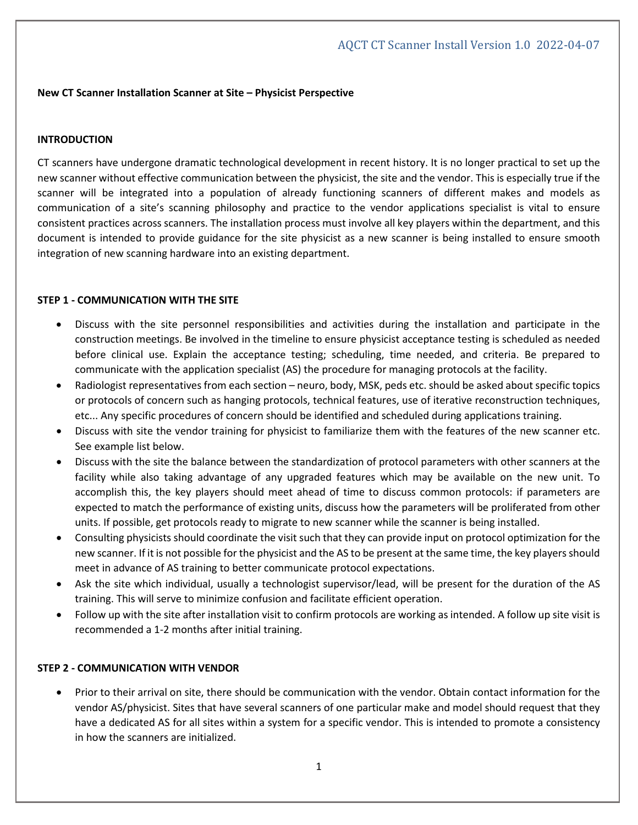## **New CT Scanner Installation Scanner at Site – Physicist Perspective**

#### **INTRODUCTION**

CT scanners have undergone dramatic technological development in recent history. It is no longer practical to set up the new scanner without effective communication between the physicist, the site and the vendor. This is especially true if the scanner will be integrated into a population of already functioning scanners of different makes and models as communication of a site's scanning philosophy and practice to the vendor applications specialist is vital to ensure consistent practices across scanners. The installation process must involve all key players within the department, and this document is intended to provide guidance for the site physicist as a new scanner is being installed to ensure smooth integration of new scanning hardware into an existing department.

## **STEP 1 - COMMUNICATION WITH THE SITE**

- Discuss with the site personnel responsibilities and activities during the installation and participate in the construction meetings. Be involved in the timeline to ensure physicist acceptance testing is scheduled as needed before clinical use. Explain the acceptance testing; scheduling, time needed, and criteria. Be prepared to communicate with the application specialist (AS) the procedure for managing protocols at the facility.
- Radiologist representatives from each section neuro, body, MSK, peds etc. should be asked about specific topics or protocols of concern such as hanging protocols, technical features, use of iterative reconstruction techniques, etc... Any specific procedures of concern should be identified and scheduled during applications training.
- Discuss with site the vendor training for physicist to familiarize them with the features of the new scanner etc. See example list below.
- Discuss with the site the balance between the standardization of protocol parameters with other scanners at the facility while also taking advantage of any upgraded features which may be available on the new unit. To accomplish this, the key players should meet ahead of time to discuss common protocols: if parameters are expected to match the performance of existing units, discuss how the parameters will be proliferated from other units. If possible, get protocols ready to migrate to new scanner while the scanner is being installed.
- Consulting physicists should coordinate the visit such that they can provide input on protocol optimization for the new scanner. If it is not possible for the physicist and the AS to be present at the same time, the key players should meet in advance of AS training to better communicate protocol expectations.
- Ask the site which individual, usually a technologist supervisor/lead, will be present for the duration of the AS training. This will serve to minimize confusion and facilitate efficient operation.
- Follow up with the site after installation visit to confirm protocols are working as intended. A follow up site visit is recommended a 1-2 months after initial training.

## **STEP 2 - COMMUNICATION WITH VENDOR**

• Prior to their arrival on site, there should be communication with the vendor. Obtain contact information for the vendor AS/physicist. Sites that have several scanners of one particular make and model should request that they have a dedicated AS for all sites within a system for a specific vendor. This is intended to promote a consistency in how the scanners are initialized.